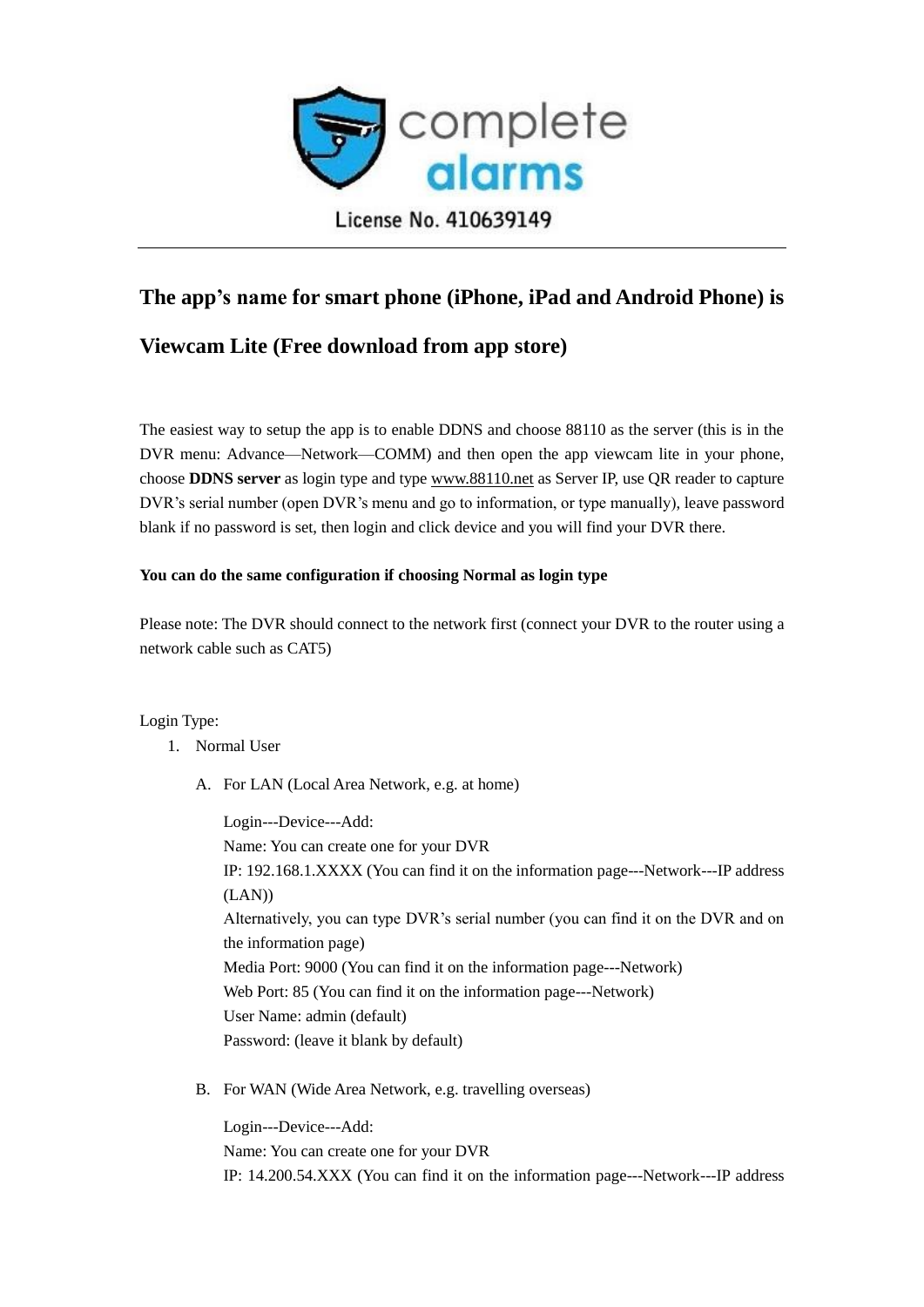

## **The app's name for smart phone (iPhone, iPad and Android Phone) is**

## **Viewcam Lite (Free download from app store)**

The easiest way to setup the app is to enable DDNS and choose 88110 as the server (this is in the DVR menu: Advance—Network—COMM) and then open the app viewcam lite in your phone, choose **DDNS server** as login type and type [www.88110.net](http://www.88110.net/) as Server IP, use QR reader to capture DVR's serial number (open DVR's menu and go to information, or type manually), leave password blank if no password is set, then login and click device and you will find your DVR there.

## **You can do the same configuration if choosing Normal as login type**

Please note: The DVR should connect to the network first (connect your DVR to the router using a network cable such as CAT5)

Login Type:

- 1. Normal User
	- A. For LAN (Local Area Network, e.g. at home)

Login---Device---Add: Name: You can create one for your DVR IP: 192.168.1.XXXX (You can find it on the information page---Network---IP address (LAN)) Alternatively, you can type DVR's serial number (you can find it on the DVR and on the information page) Media Port: 9000 (You can find it on the information page---Network) Web Port: 85 (You can find it on the information page---Network) User Name: admin (default) Password: (leave it blank by default)

B. For WAN (Wide Area Network, e.g. travelling overseas)

Login---Device---Add: Name: You can create one for your DVR IP: 14.200.54.XXX (You can find it on the information page---Network---IP address